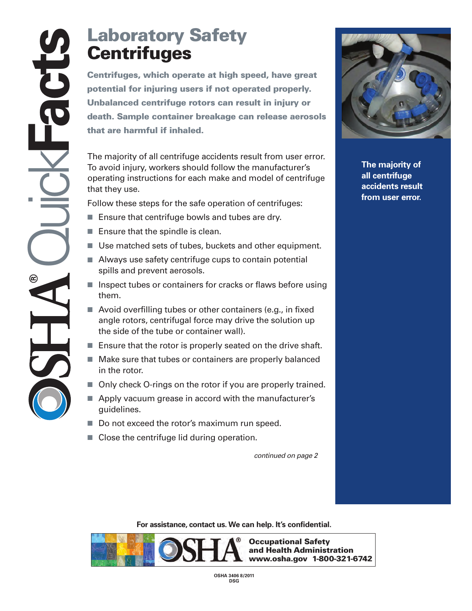## **Laboratory Safety Centrifuges**

**Centrifuges**<br> **Centrifuges**<br> **Centrifuges**<br> **Centrifuges**<br> **Centrifuge at the container of the container breakage can release aerosol<br>
that are harmful if inhaled.<br>
The majority of all centrifuge accidents result from use potential for injuring users if not operated properly. Unbalanced centrifuge rotors can result in injury or death. Sample container breakage can release aerosols that are harmful if inhaled.** 

The majority of all centrifuge accidents result from user error. To avoid injury, workers should follow the manufacturer's operating instructions for each make and model of centrifuge that they use.

Follow these steps for the safe operation of centrifuges:

- Ensure that centrifuge bowls and tubes are dry.
- $\blacksquare$  Ensure that the spindle is clean.
- Use matched sets of tubes, buckets and other equipment.
- Always use safety centrifuge cups to contain potential spills and prevent aerosols.
- **Inspect tubes or containers for cracks or flaws before using** them.
- Avoid overfilling tubes or other containers (e.g., in fixed angle rotors, centrifugal force may drive the solution up the side of the tube or container wall).
- Ensure that the rotor is properly seated on the drive shaft.
- Make sure that tubes or containers are properly balanced in the rotor.
- Only check O-rings on the rotor if you are properly trained.
- Apply vacuum grease in accord with the manufacturer's guidelines.
- Do not exceed the rotor's maximum run speed.
- Close the centrifuge lid during operation.

*continued on page 2* 



**The majority of all centrifuge accidents result from user error.** 

**[For assistance, contact us. We](https://Forassistance,contactus.We) can help. It's confidential.** 



**OSHA 3406 8/2011 DSG**